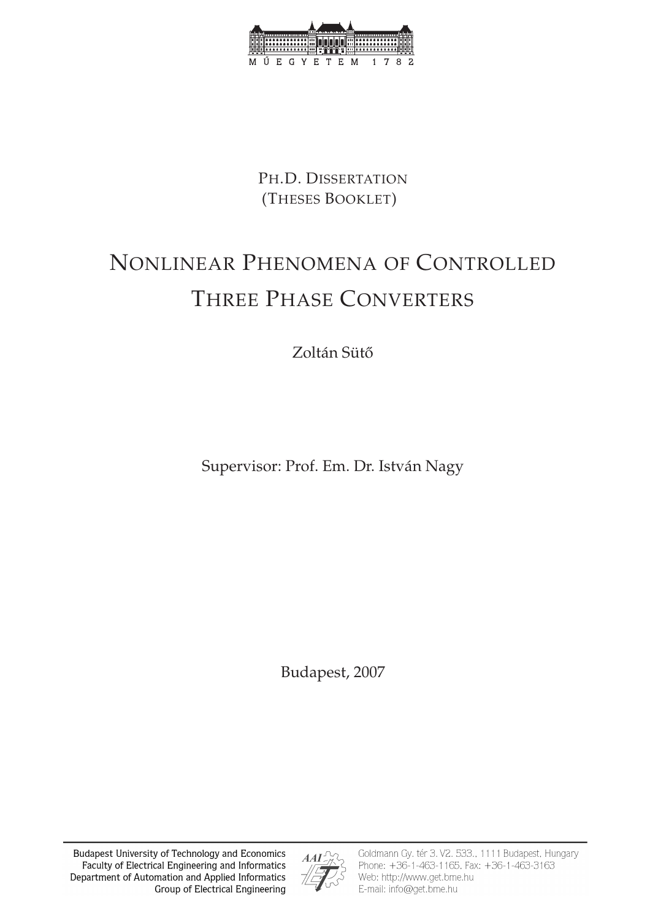

PH.D. DISSERTATION (THESES BOOKLET)

# NONLINEAR PHENOMENA OF CONTROLLED THREE PHASE CONVERTERS

Zoltán Sütő

Supervisor: Prof. Em. Dr. István Nagy

Budapest, 2007

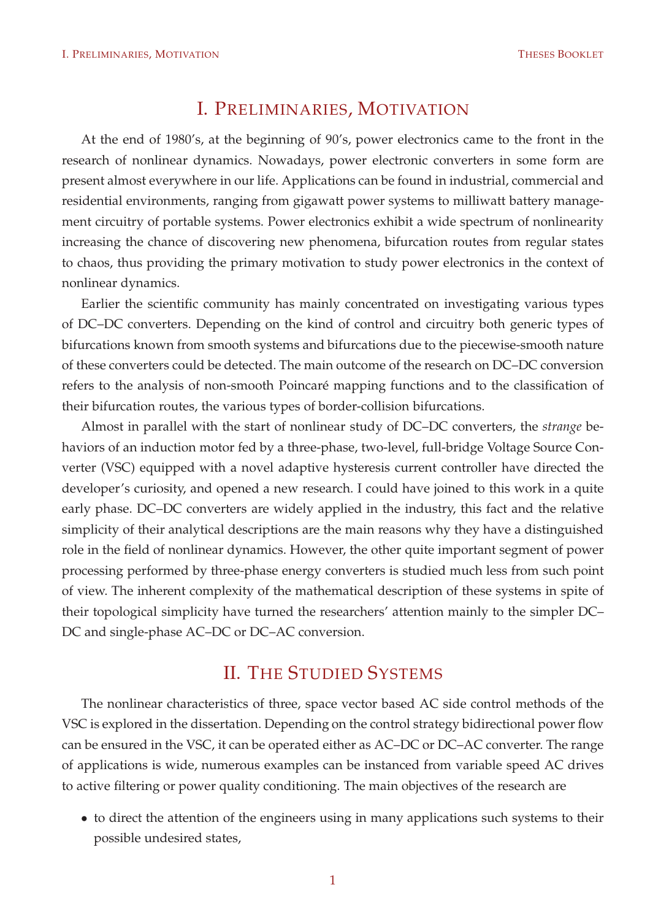#### I. PRELIMINARIES, MOTIVATION

At the end of 1980's, at the beginning of 90's, power electronics came to the front in the research of nonlinear dynamics. Nowadays, power electronic converters in some form are present almost everywhere in our life. Applications can be found in industrial, commercial and residential environments, ranging from gigawatt power systems to milliwatt battery management circuitry of portable systems. Power electronics exhibit a wide spectrum of nonlinearity increasing the chance of discovering new phenomena, bifurcation routes from regular states to chaos, thus providing the primary motivation to study power electronics in the context of nonlinear dynamics.

Earlier the scientific community has mainly concentrated on investigating various types of DC–DC converters. Depending on the kind of control and circuitry both generic types of bifurcations known from smooth systems and bifurcations due to the piecewise-smooth nature of these converters could be detected. The main outcome of the research on DC–DC conversion refers to the analysis of non-smooth Poincaré mapping functions and to the classification of their bifurcation routes, the various types of border-collision bifurcations.

Almost in parallel with the start of nonlinear study of DC–DC converters, the *strange* behaviors of an induction motor fed by a three-phase, two-level, full-bridge Voltage Source Converter (VSC) equipped with a novel adaptive hysteresis current controller have directed the developer's curiosity, and opened a new research. I could have joined to this work in a quite early phase. DC–DC converters are widely applied in the industry, this fact and the relative simplicity of their analytical descriptions are the main reasons why they have a distinguished role in the field of nonlinear dynamics. However, the other quite important segment of power processing performed by three-phase energy converters is studied much less from such point of view. The inherent complexity of the mathematical description of these systems in spite of their topological simplicity have turned the researchers' attention mainly to the simpler DC– DC and single-phase AC–DC or DC–AC conversion.

## II. THE STUDIED SYSTEMS

The nonlinear characteristics of three, space vector based AC side control methods of the VSC is explored in the dissertation. Depending on the control strategy bidirectional power flow can be ensured in the VSC, it can be operated either as AC–DC or DC–AC converter. The range of applications is wide, numerous examples can be instanced from variable speed AC drives to active filtering or power quality conditioning. The main objectives of the research are

• to direct the attention of the engineers using in many applications such systems to their possible undesired states,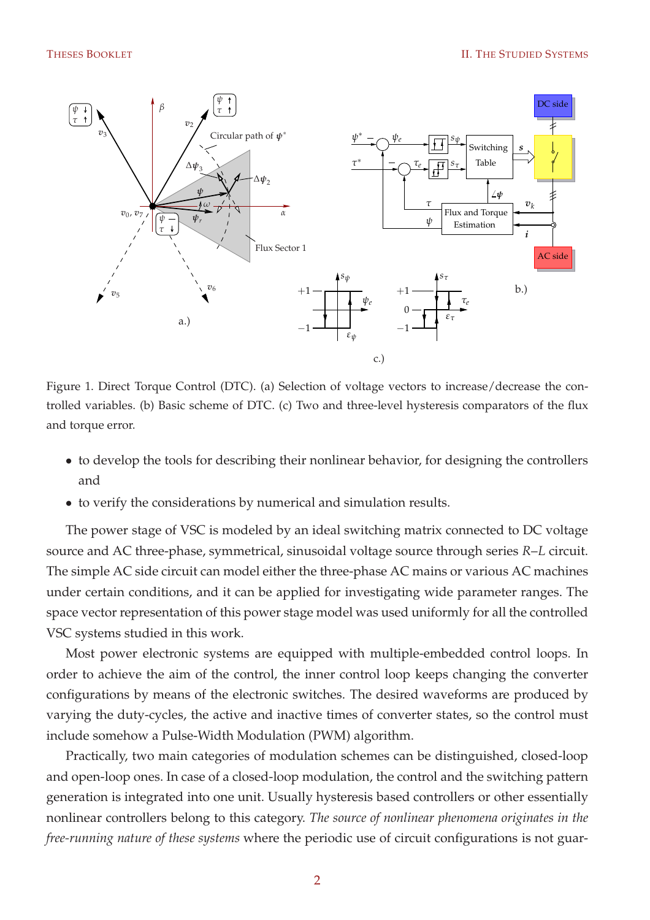

Figure 1. Direct Torque Control (DTC). (a) Selection of voltage vectors to increase/decrease the controlled variables. (b) Basic scheme of DTC. (c) Two and three-level hysteresis comparators of the flux and torque error.

- to develop the tools for describing their nonlinear behavior, for designing the controllers and
- to verify the considerations by numerical and simulation results.

The power stage of VSC is modeled by an ideal switching matrix connected to DC voltage source and AC three-phase, symmetrical, sinusoidal voltage source through series *R*–*L* circuit. The simple AC side circuit can model either the three-phase AC mains or various AC machines under certain conditions, and it can be applied for investigating wide parameter ranges. The space vector representation of this power stage model was used uniformly for all the controlled VSC systems studied in this work.

Most power electronic systems are equipped with multiple-embedded control loops. In order to achieve the aim of the control, the inner control loop keeps changing the converter configurations by means of the electronic switches. The desired waveforms are produced by varying the duty-cycles, the active and inactive times of converter states, so the control must include somehow a Pulse-Width Modulation (PWM) algorithm.

Practically, two main categories of modulation schemes can be distinguished, closed-loop and open-loop ones. In case of a closed-loop modulation, the control and the switching pattern generation is integrated into one unit. Usually hysteresis based controllers or other essentially nonlinear controllers belong to this category. *The source of nonlinear phenomena originates in the free-running nature of these systems* where the periodic use of circuit configurations is not guar-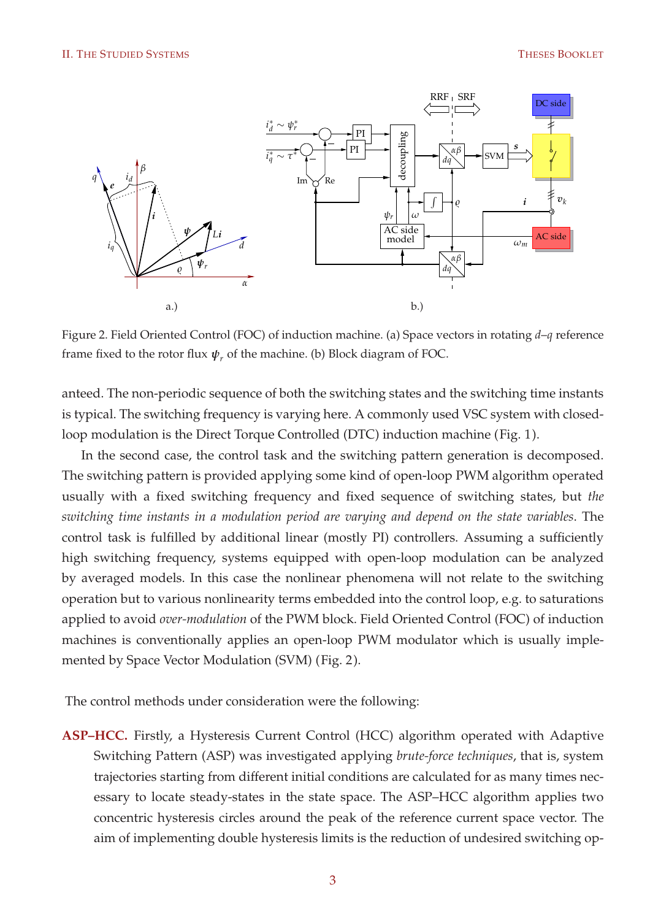

Figure 2. Field Oriented Control (FOC) of induction machine. (a) Space vectors in rotating *d*–*q* reference frame fixed to the rotor flux  $\psi_r$  of the machine. (b) Block diagram of FOC.

anteed. The non-periodic sequence of both the switching states and the switching time instants is typical. The switching frequency is varying here. A commonly used VSC system with closedloop modulation is the Direct Torque Controlled (DTC) induction machine (Fig. 1).

In the second case, the control task and the switching pattern generation is decomposed. The switching pattern is provided applying some kind of open-loop PWM algorithm operated usually with a fixed switching frequency and fixed sequence of switching states, but *the switching time instants in a modulation period are varying and depend on the state variables*. The control task is fulfilled by additional linear (mostly PI) controllers. Assuming a sufficiently high switching frequency, systems equipped with open-loop modulation can be analyzed by averaged models. In this case the nonlinear phenomena will not relate to the switching operation but to various nonlinearity terms embedded into the control loop, e.g. to saturations applied to avoid *over-modulation* of the PWM block. Field Oriented Control (FOC) of induction machines is conventionally applies an open-loop PWM modulator which is usually implemented by Space Vector Modulation (SVM) (Fig. 2).

The control methods under consideration were the following:

**ASP–HCC.** Firstly, a Hysteresis Current Control (HCC) algorithm operated with Adaptive Switching Pattern (ASP) was investigated applying *brute-force techniques*, that is, system trajectories starting from different initial conditions are calculated for as many times necessary to locate steady-states in the state space. The ASP–HCC algorithm applies two concentric hysteresis circles around the peak of the reference current space vector. The aim of implementing double hysteresis limits is the reduction of undesired switching op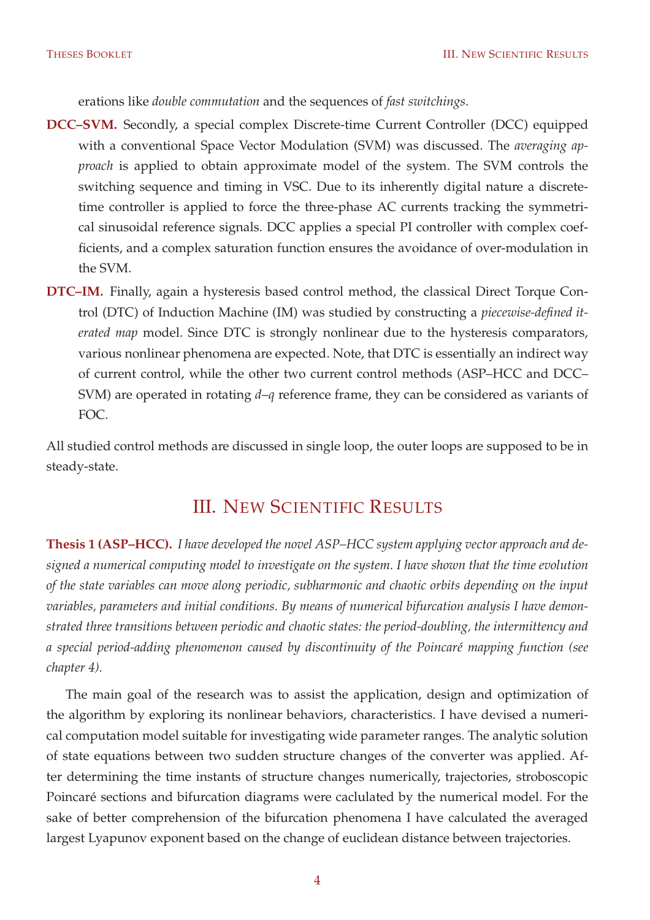erations like *double commutation* and the sequences of *fast switchings*.

- **DCC–SVM.** Secondly, a special complex Discrete-time Current Controller (DCC) equipped with a conventional Space Vector Modulation (SVM) was discussed. The *averaging approach* is applied to obtain approximate model of the system. The SVM controls the switching sequence and timing in VSC. Due to its inherently digital nature a discretetime controller is applied to force the three-phase AC currents tracking the symmetrical sinusoidal reference signals. DCC applies a special PI controller with complex coefficients, and a complex saturation function ensures the avoidance of over-modulation in the SVM.
- **DTC–IM.** Finally, again a hysteresis based control method, the classical Direct Torque Control (DTC) of Induction Machine (IM) was studied by constructing a *piecewise-defined iterated map* model. Since DTC is strongly nonlinear due to the hysteresis comparators, various nonlinear phenomena are expected. Note, that DTC is essentially an indirect way of current control, while the other two current control methods (ASP–HCC and DCC– SVM) are operated in rotating *d*–*q* reference frame, they can be considered as variants of FOC.

All studied control methods are discussed in single loop, the outer loops are supposed to be in steady-state.

#### III. NEW SCIENTIFIC RESULTS

**Thesis 1 (ASP–HCC).** *I have developed the novel ASP–HCC system applying vector approach and designed a numerical computing model to investigate on the system. I have shown that the time evolution of the state variables can move along periodic, subharmonic and chaotic orbits depending on the input variables, parameters and initial conditions. By means of numerical bifurcation analysis I have demonstrated three transitions between periodic and chaotic states: the period-doubling, the intermittency and a special period-adding phenomenon caused by discontinuity of the Poincaré mapping function (see chapter 4).*

The main goal of the research was to assist the application, design and optimization of the algorithm by exploring its nonlinear behaviors, characteristics. I have devised a numerical computation model suitable for investigating wide parameter ranges. The analytic solution of state equations between two sudden structure changes of the converter was applied. After determining the time instants of structure changes numerically, trajectories, stroboscopic Poincaré sections and bifurcation diagrams were caclulated by the numerical model. For the sake of better comprehension of the bifurcation phenomena I have calculated the averaged largest Lyapunov exponent based on the change of euclidean distance between trajectories.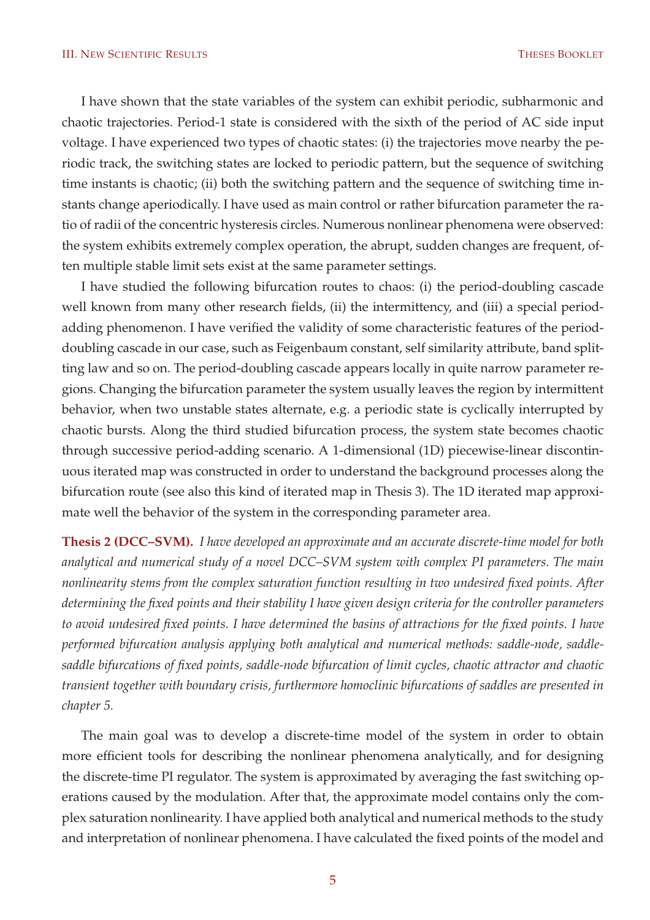I have shown that the state variables of the system can exhibit periodic, subharmonic and chaotic trajectories. Period-1 state is considered with the sixth of the period of AC side input voltage. I have experienced two types of chaotic states: (i) the trajectories move nearby the periodic track, the switching states are locked to periodic pattern, but the sequence of switching time instants is chaotic; (ii) both the switching pattern and the sequence of switching time instants change aperiodically. I have used as main control or rather bifurcation parameter the ratio of radii of the concentric hysteresis circles. Numerous nonlinear phenomena were observed: the system exhibits extremely complex operation, the abrupt, sudden changes are frequent, often multiple stable limit sets exist at the same parameter settings.

I have studied the following bifurcation routes to chaos: (i) the period-doubling cascade well known from many other research fields, (ii) the intermittency, and (iii) a special periodadding phenomenon. I have verified the validity of some characteristic features of the perioddoubling cascade in our case, such as Feigenbaum constant, self similarity attribute, band splitting law and so on. The period-doubling cascade appears locally in quite narrow parameter regions. Changing the bifurcation parameter the system usually leaves the region by intermittent behavior, when two unstable states alternate, e.g. a periodic state is cyclically interrupted by chaotic bursts. Along the third studied bifurcation process, the system state becomes chaotic through successive period-adding scenario. A 1-dimensional (1D) piecewise-linear discontinuous iterated map was constructed in order to understand the background processes along the bifurcation route (see also this kind of iterated map in Thesis 3). The 1D iterated map approximate well the behavior of the system in the corresponding parameter area.

**Thesis 2 (DCC–SVM).** *I have developed an approximate and an accurate discrete-time model for both analytical and numerical study of a novel DCC–SVM system with complex PI parameters. The main nonlinearity stems from the complex saturation function resulting in two undesired fixed points. After determining the fixed points and their stability I have given design criteria for the controller parameters to avoid undesired fixed points. I have determined the basins of attractions for the fixed points. I have performed bifurcation analysis applying both analytical and numerical methods: saddle-node, saddlesaddle bifurcations of fixed points, saddle-node bifurcation of limit cycles, chaotic attractor and chaotic transient together with boundary crisis, furthermore homoclinic bifurcations of saddles are presented in chapter 5.*

The main goal was to develop a discrete-time model of the system in order to obtain more efficient tools for describing the nonlinear phenomena analytically, and for designing the discrete-time PI regulator. The system is approximated by averaging the fast switching operations caused by the modulation. After that, the approximate model contains only the complex saturation nonlinearity. I have applied both analytical and numerical methods to the study and interpretation of nonlinear phenomena. I have calculated the fixed points of the model and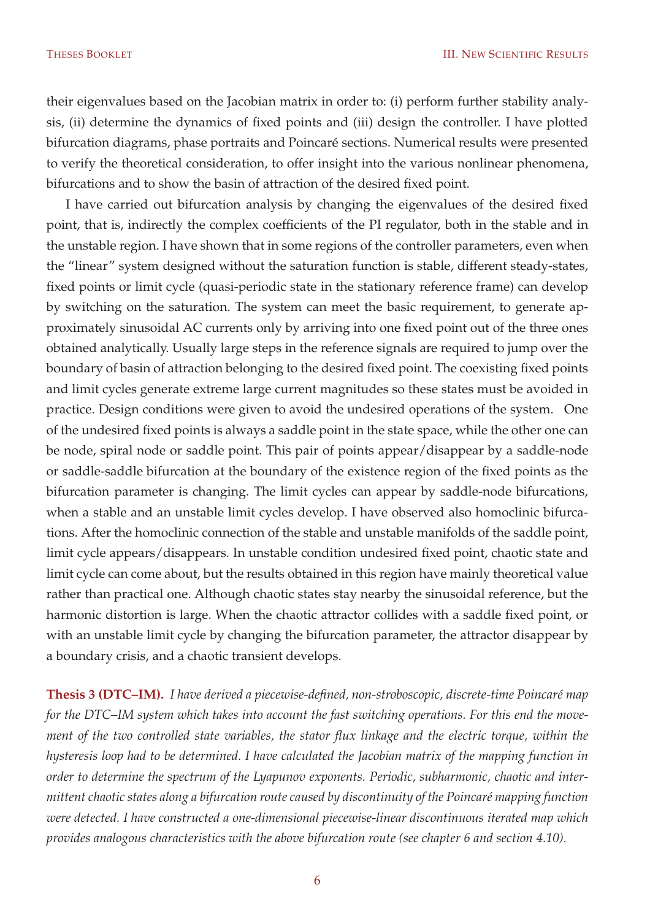their eigenvalues based on the Jacobian matrix in order to: (i) perform further stability analysis, (ii) determine the dynamics of fixed points and (iii) design the controller. I have plotted bifurcation diagrams, phase portraits and Poincaré sections. Numerical results were presented to verify the theoretical consideration, to offer insight into the various nonlinear phenomena, bifurcations and to show the basin of attraction of the desired fixed point.

I have carried out bifurcation analysis by changing the eigenvalues of the desired fixed point, that is, indirectly the complex coefficients of the PI regulator, both in the stable and in the unstable region. I have shown that in some regions of the controller parameters, even when the "linear" system designed without the saturation function is stable, different steady-states, fixed points or limit cycle (quasi-periodic state in the stationary reference frame) can develop by switching on the saturation. The system can meet the basic requirement, to generate approximately sinusoidal AC currents only by arriving into one fixed point out of the three ones obtained analytically. Usually large steps in the reference signals are required to jump over the boundary of basin of attraction belonging to the desired fixed point. The coexisting fixed points and limit cycles generate extreme large current magnitudes so these states must be avoided in practice. Design conditions were given to avoid the undesired operations of the system. One of the undesired fixed points is always a saddle point in the state space, while the other one can be node, spiral node or saddle point. This pair of points appear/disappear by a saddle-node or saddle-saddle bifurcation at the boundary of the existence region of the fixed points as the bifurcation parameter is changing. The limit cycles can appear by saddle-node bifurcations, when a stable and an unstable limit cycles develop. I have observed also homoclinic bifurcations. After the homoclinic connection of the stable and unstable manifolds of the saddle point, limit cycle appears/disappears. In unstable condition undesired fixed point, chaotic state and limit cycle can come about, but the results obtained in this region have mainly theoretical value rather than practical one. Although chaotic states stay nearby the sinusoidal reference, but the harmonic distortion is large. When the chaotic attractor collides with a saddle fixed point, or with an unstable limit cycle by changing the bifurcation parameter, the attractor disappear by a boundary crisis, and a chaotic transient develops.

**Thesis 3 (DTC–IM).** *I have derived a piecewise-defined, non-stroboscopic, discrete-time Poincaré map for the DTC–IM system which takes into account the fast switching operations. For this end the movement of the two controlled state variables, the stator flux linkage and the electric torque, within the hysteresis loop had to be determined. I have calculated the Jacobian matrix of the mapping function in order to determine the spectrum of the Lyapunov exponents. Periodic, subharmonic, chaotic and intermittent chaotic states along a bifurcation route caused by discontinuity of the Poincaré mapping function were detected. I have constructed a one-dimensional piecewise-linear discontinuous iterated map which provides analogous characteristics with the above bifurcation route (see chapter 6 and section 4.10).*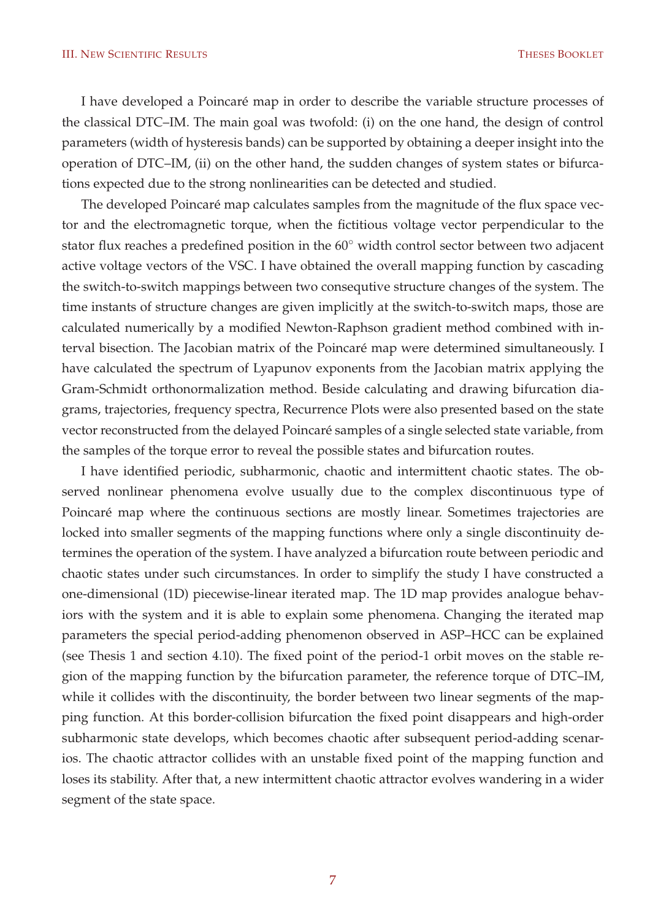#### III. NEW SCIENTIFIC RESULTS THESES BOOKLET

I have developed a Poincaré map in order to describe the variable structure processes of the classical DTC–IM. The main goal was twofold: (i) on the one hand, the design of control parameters (width of hysteresis bands) can be supported by obtaining a deeper insight into the operation of DTC–IM, (ii) on the other hand, the sudden changes of system states or bifurcations expected due to the strong nonlinearities can be detected and studied.

The developed Poincaré map calculates samples from the magnitude of the flux space vector and the electromagnetic torque, when the fictitious voltage vector perpendicular to the stator flux reaches a predefined position in the 60° width control sector between two adjacent active voltage vectors of the VSC. I have obtained the overall mapping function by cascading the switch-to-switch mappings between two consequtive structure changes of the system. The time instants of structure changes are given implicitly at the switch-to-switch maps, those are calculated numerically by a modified Newton-Raphson gradient method combined with interval bisection. The Jacobian matrix of the Poincaré map were determined simultaneously. I have calculated the spectrum of Lyapunov exponents from the Jacobian matrix applying the Gram-Schmidt orthonormalization method. Beside calculating and drawing bifurcation diagrams, trajectories, frequency spectra, Recurrence Plots were also presented based on the state vector reconstructed from the delayed Poincaré samples of a single selected state variable, from the samples of the torque error to reveal the possible states and bifurcation routes.

I have identified periodic, subharmonic, chaotic and intermittent chaotic states. The observed nonlinear phenomena evolve usually due to the complex discontinuous type of Poincaré map where the continuous sections are mostly linear. Sometimes trajectories are locked into smaller segments of the mapping functions where only a single discontinuity determines the operation of the system. I have analyzed a bifurcation route between periodic and chaotic states under such circumstances. In order to simplify the study I have constructed a one-dimensional (1D) piecewise-linear iterated map. The 1D map provides analogue behaviors with the system and it is able to explain some phenomena. Changing the iterated map parameters the special period-adding phenomenon observed in ASP–HCC can be explained (see Thesis 1 and section 4.10). The fixed point of the period-1 orbit moves on the stable region of the mapping function by the bifurcation parameter, the reference torque of DTC–IM, while it collides with the discontinuity, the border between two linear segments of the mapping function. At this border-collision bifurcation the fixed point disappears and high-order subharmonic state develops, which becomes chaotic after subsequent period-adding scenarios. The chaotic attractor collides with an unstable fixed point of the mapping function and loses its stability. After that, a new intermittent chaotic attractor evolves wandering in a wider segment of the state space.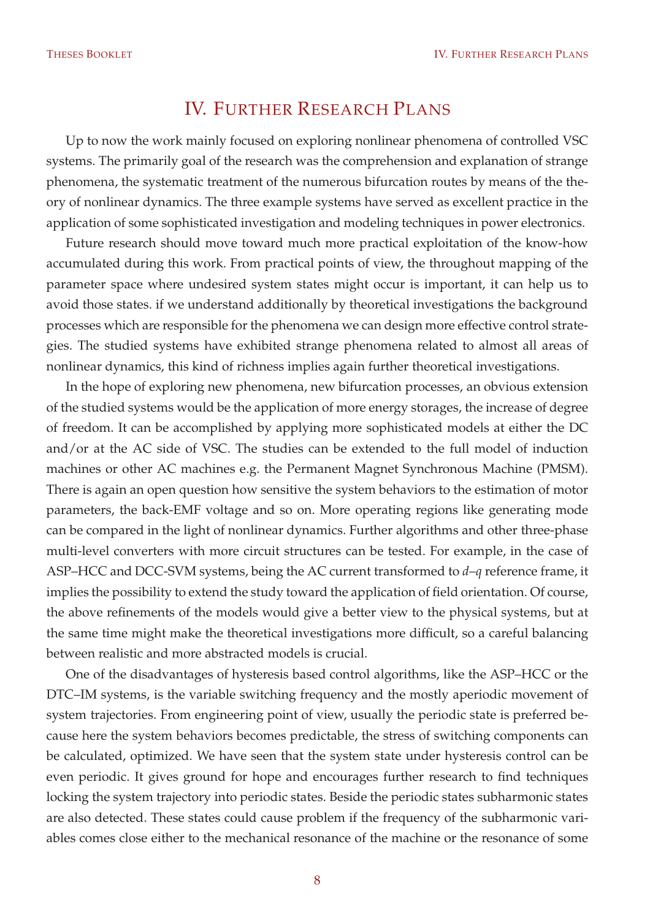### IV. FURTHER RESEARCH PLANS

Up to now the work mainly focused on exploring nonlinear phenomena of controlled VSC systems. The primarily goal of the research was the comprehension and explanation of strange phenomena, the systematic treatment of the numerous bifurcation routes by means of the theory of nonlinear dynamics. The three example systems have served as excellent practice in the application of some sophisticated investigation and modeling techniques in power electronics.

Future research should move toward much more practical exploitation of the know-how accumulated during this work. From practical points of view, the throughout mapping of the parameter space where undesired system states might occur is important, it can help us to avoid those states. if we understand additionally by theoretical investigations the background processes which are responsible for the phenomena we can design more effective control strategies. The studied systems have exhibited strange phenomena related to almost all areas of nonlinear dynamics, this kind of richness implies again further theoretical investigations.

In the hope of exploring new phenomena, new bifurcation processes, an obvious extension of the studied systems would be the application of more energy storages, the increase of degree of freedom. It can be accomplished by applying more sophisticated models at either the DC and/or at the AC side of VSC. The studies can be extended to the full model of induction machines or other AC machines e.g. the Permanent Magnet Synchronous Machine (PMSM). There is again an open question how sensitive the system behaviors to the estimation of motor parameters, the back-EMF voltage and so on. More operating regions like generating mode can be compared in the light of nonlinear dynamics. Further algorithms and other three-phase multi-level converters with more circuit structures can be tested. For example, in the case of ASP–HCC and DCC-SVM systems, being the AC current transformed to *d*–*q* reference frame, it implies the possibility to extend the study toward the application of field orientation. Of course, the above refinements of the models would give a better view to the physical systems, but at the same time might make the theoretical investigations more difficult, so a careful balancing between realistic and more abstracted models is crucial.

One of the disadvantages of hysteresis based control algorithms, like the ASP–HCC or the DTC–IM systems, is the variable switching frequency and the mostly aperiodic movement of system trajectories. From engineering point of view, usually the periodic state is preferred because here the system behaviors becomes predictable, the stress of switching components can be calculated, optimized. We have seen that the system state under hysteresis control can be even periodic. It gives ground for hope and encourages further research to find techniques locking the system trajectory into periodic states. Beside the periodic states subharmonic states are also detected. These states could cause problem if the frequency of the subharmonic variables comes close either to the mechanical resonance of the machine or the resonance of some

8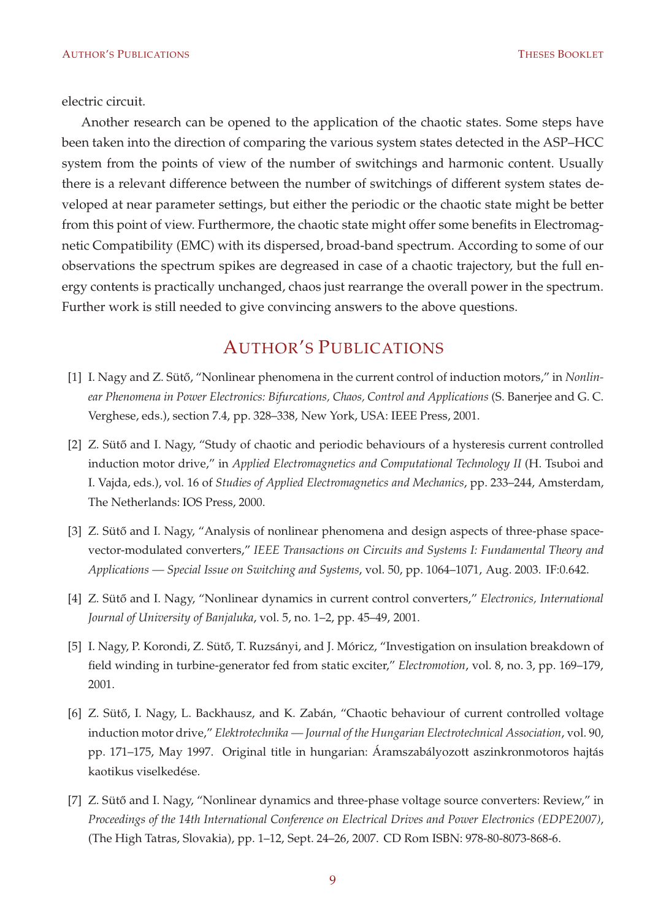electric circuit.

Another research can be opened to the application of the chaotic states. Some steps have been taken into the direction of comparing the various system states detected in the ASP–HCC system from the points of view of the number of switchings and harmonic content. Usually there is a relevant difference between the number of switchings of different system states developed at near parameter settings, but either the periodic or the chaotic state might be better from this point of view. Furthermore, the chaotic state might offer some benefits in Electromagnetic Compatibility (EMC) with its dispersed, broad-band spectrum. According to some of our observations the spectrum spikes are degreased in case of a chaotic trajectory, but the full energy contents is practically unchanged, chaos just rearrange the overall power in the spectrum. Further work is still needed to give convincing answers to the above questions.

#### AUTHOR'S PUBLICATIONS

- [1] I. Nagy and Z. Sütő, "Nonlinear phenomena in the current control of induction motors," in *Nonlinear Phenomena in Power Electronics: Bifurcations, Chaos, Control and Applications* (S. Banerjee and G. C. Verghese, eds.), section 7.4, pp. 328–338, New York, USA: IEEE Press, 2001.
- [2] Z. Sütő and I. Nagy, "Study of chaotic and periodic behaviours of a hysteresis current controlled induction motor drive," in *Applied Electromagnetics and Computational Technology II* (H. Tsuboi and I. Vajda, eds.), vol. 16 of *Studies of Applied Electromagnetics and Mechanics*, pp. 233–244, Amsterdam, The Netherlands: IOS Press, 2000.
- [3] Z. Sütő and I. Nagy, "Analysis of nonlinear phenomena and design aspects of three-phase spacevector-modulated converters," *IEEE Transactions on Circuits and Systems I: Fundamental Theory and Applications — Special Issue on Switching and Systems*, vol. 50, pp. 1064–1071, Aug. 2003. IF:0.642.
- [4] Z. Sütő and I. Nagy, "Nonlinear dynamics in current control converters," *Electronics*, International *Journal of University of Banjaluka*, vol. 5, no. 1–2, pp. 45–49, 2001.
- [5] I. Nagy, P. Korondi, Z. Sütő, T. Ruzsányi, and J. Móricz, "Investigation on insulation breakdown of field winding in turbine-generator fed from static exciter," *Electromotion*, vol. 8, no. 3, pp. 169–179, 2001.
- [6] Z. Sütő, I. Nagy, L. Backhausz, and K. Zabán, "Chaotic behaviour of current controlled voltage induction motor drive," *Elektrotechnika — Journal of the Hungarian Electrotechnical Association*, vol. 90, pp. 171–175, May 1997. Original title in hungarian: Áramszabályozott aszinkronmotoros hajtás kaotikus viselkedése.
- [7] Z. Sütő and I. Nagy, "Nonlinear dynamics and three-phase voltage source converters: Review," in *Proceedings of the 14th International Conference on Electrical Drives and Power Electronics (EDPE2007)*, (The High Tatras, Slovakia), pp. 1–12, Sept. 24–26, 2007. CD Rom ISBN: 978-80-8073-868-6.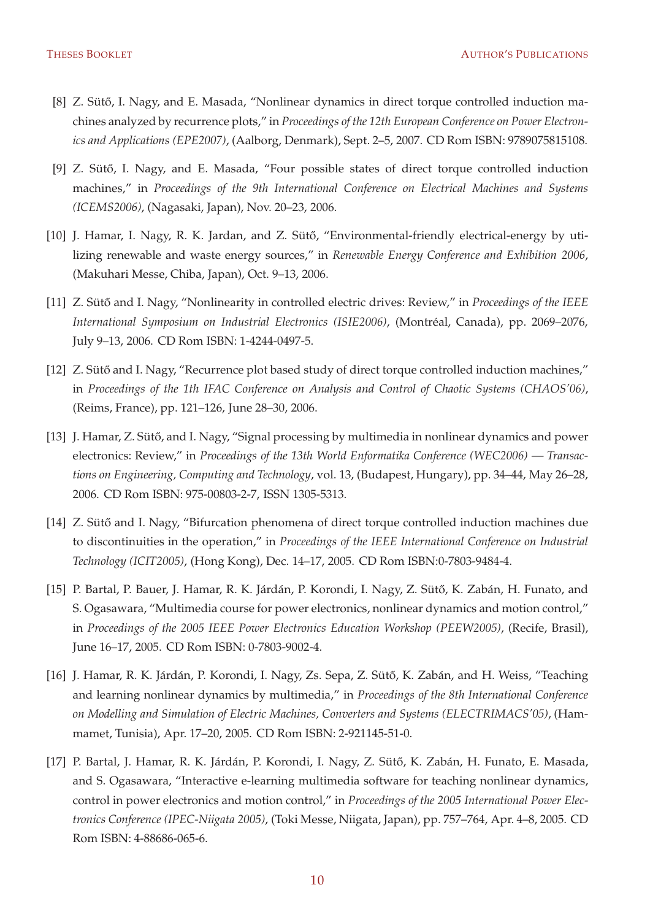- [8] Z. Sütő, I. Nagy, and E. Masada, "Nonlinear dynamics in direct torque controlled induction machines analyzed by recurrence plots," in *Proceedings of the 12th European Conference on Power Electronics and Applications (EPE2007)*, (Aalborg, Denmark), Sept. 2–5, 2007. CD Rom ISBN: 9789075815108.
- [9] Z. Sütő, I. Nagy, and E. Masada, "Four possible states of direct torque controlled induction machines," in *Proceedings of the 9th International Conference on Electrical Machines and Systems (ICEMS2006)*, (Nagasaki, Japan), Nov. 20–23, 2006.
- [10] J. Hamar, I. Nagy, R. K. Jardan, and Z. Sütő, "Environmental-friendly electrical-energy by utilizing renewable and waste energy sources," in *Renewable Energy Conference and Exhibition 2006*, (Makuhari Messe, Chiba, Japan), Oct. 9–13, 2006.
- [11] Z. Sütő and I. Nagy, "Nonlinearity in controlled electric drives: Review," in *Proceedings of the IEEE International Symposium on Industrial Electronics (ISIE2006)*, (Montréal, Canada), pp. 2069–2076, July 9–13, 2006. CD Rom ISBN: 1-4244-0497-5.
- [12] Z. Sütő and I. Nagy, "Recurrence plot based study of direct torque controlled induction machines," in *Proceedings of the 1th IFAC Conference on Analysis and Control of Chaotic Systems (CHAOS'06)*, (Reims, France), pp. 121–126, June 28–30, 2006.
- [13] J. Hamar, Z. Sütő, and I. Nagy, "Signal processing by multimedia in nonlinear dynamics and power electronics: Review," in *Proceedings of the 13th World Enformatika Conference (WEC2006) — Transactions on Engineering, Computing and Technology*, vol. 13, (Budapest, Hungary), pp. 34–44, May 26–28, 2006. CD Rom ISBN: 975-00803-2-7, ISSN 1305-5313.
- [14] Z. Sütő and I. Nagy, "Bifurcation phenomena of direct torque controlled induction machines due to discontinuities in the operation," in *Proceedings of the IEEE International Conference on Industrial Technology (ICIT2005)*, (Hong Kong), Dec. 14–17, 2005. CD Rom ISBN:0-7803-9484-4.
- [15] P. Bartal, P. Bauer, J. Hamar, R. K. Járdán, P. Korondi, I. Nagy, Z. Sütő, K. Zabán, H. Funato, and S. Ogasawara, "Multimedia course for power electronics, nonlinear dynamics and motion control," in *Proceedings of the 2005 IEEE Power Electronics Education Workshop (PEEW2005)*, (Recife, Brasil), June 16–17, 2005. CD Rom ISBN: 0-7803-9002-4.
- [16] J. Hamar, R. K. Járdán, P. Korondi, I. Nagy, Zs. Sepa, Z. Sütő, K. Zabán, and H. Weiss, "Teaching and learning nonlinear dynamics by multimedia," in *Proceedings of the 8th International Conference on Modelling and Simulation of Electric Machines, Converters and Systems (ELECTRIMACS'05)*, (Hammamet, Tunisia), Apr. 17–20, 2005. CD Rom ISBN: 2-921145-51-0.
- [17] P. Bartal, J. Hamar, R. K. Járdán, P. Korondi, I. Nagy, Z. Sütő, K. Zabán, H. Funato, E. Masada, and S. Ogasawara, "Interactive e-learning multimedia software for teaching nonlinear dynamics, control in power electronics and motion control," in *Proceedings of the 2005 International Power Electronics Conference (IPEC-Niigata 2005)*, (Toki Messe, Niigata, Japan), pp. 757–764, Apr. 4–8, 2005. CD Rom ISBN: 4-88686-065-6.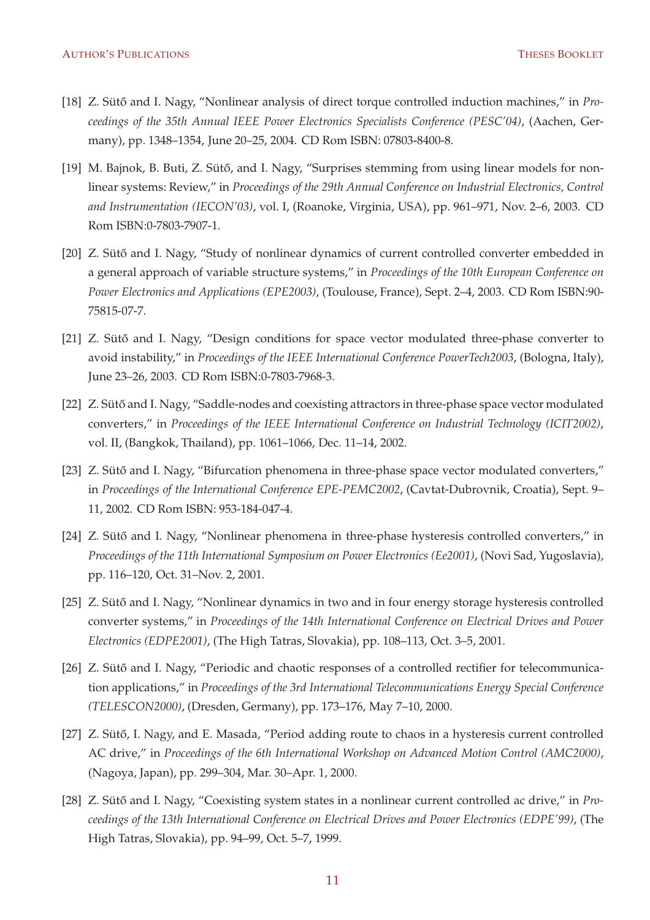- [18] Z. Sütő and I. Nagy, "Nonlinear analysis of direct torque controlled induction machines," in *Proceedings of the 35th Annual IEEE Power Electronics Specialists Conference (PESC'04)*, (Aachen, Germany), pp. 1348–1354, June 20–25, 2004. CD Rom ISBN: 07803-8400-8.
- [19] M. Bajnok, B. Buti, Z. Sütő, and I. Nagy, "Surprises stemming from using linear models for nonlinear systems: Review," in *Proceedings of the 29th Annual Conference on Industrial Electronics, Control and Instrumentation (IECON'03)*, vol. I, (Roanoke, Virginia, USA), pp. 961–971, Nov. 2–6, 2003. CD Rom ISBN:0-7803-7907-1.
- [20] Z. Sütő and I. Nagy, "Study of nonlinear dynamics of current controlled converter embedded in a general approach of variable structure systems," in *Proceedings of the 10th European Conference on Power Electronics and Applications (EPE2003)*, (Toulouse, France), Sept. 2–4, 2003. CD Rom ISBN:90- 75815-07-7.
- [21] Z. Sütő and I. Nagy, "Design conditions for space vector modulated three-phase converter to avoid instability," in *Proceedings of the IEEE International Conference PowerTech2003*, (Bologna, Italy), June 23–26, 2003. CD Rom ISBN:0-7803-7968-3.
- [22] Z. Sütő and I. Nagy, "Saddle-nodes and coexisting attractors in three-phase space vector modulated converters," in *Proceedings of the IEEE International Conference on Industrial Technology (ICIT2002)*, vol. II, (Bangkok, Thailand), pp. 1061–1066, Dec. 11–14, 2002.
- [23] Z. Sütő and I. Nagy, "Bifurcation phenomena in three-phase space vector modulated converters," in *Proceedings of the International Conference EPE-PEMC2002*, (Cavtat-Dubrovnik, Croatia), Sept. 9– 11, 2002. CD Rom ISBN: 953-184-047-4.
- [24] Z. Sütő and I. Nagy, "Nonlinear phenomena in three-phase hysteresis controlled converters," in *Proceedings of the 11th International Symposium on Power Electronics (Ee2001)*, (Novi Sad, Yugoslavia), pp. 116–120, Oct. 31–Nov. 2, 2001.
- [25] Z. Sütő and I. Nagy, "Nonlinear dynamics in two and in four energy storage hysteresis controlled converter systems," in *Proceedings of the 14th International Conference on Electrical Drives and Power Electronics (EDPE2001)*, (The High Tatras, Slovakia), pp. 108–113, Oct. 3–5, 2001.
- [26] Z. Sütő and I. Nagy, "Periodic and chaotic responses of a controlled rectifier for telecommunication applications," in *Proceedings of the 3rd International Telecommunications Energy Special Conference (TELESCON2000)*, (Dresden, Germany), pp. 173–176, May 7–10, 2000.
- [27] Z. Sütő, I. Nagy, and E. Masada, "Period adding route to chaos in a hysteresis current controlled AC drive," in *Proceedings of the 6th International Workshop on Advanced Motion Control (AMC2000)*, (Nagoya, Japan), pp. 299–304, Mar. 30–Apr. 1, 2000.
- [28] Z. Sütő and I. Nagy, "Coexisting system states in a nonlinear current controlled ac drive," in *Proceedings of the 13th International Conference on Electrical Drives and Power Electronics (EDPE'99)*, (The High Tatras, Slovakia), pp. 94–99, Oct. 5–7, 1999.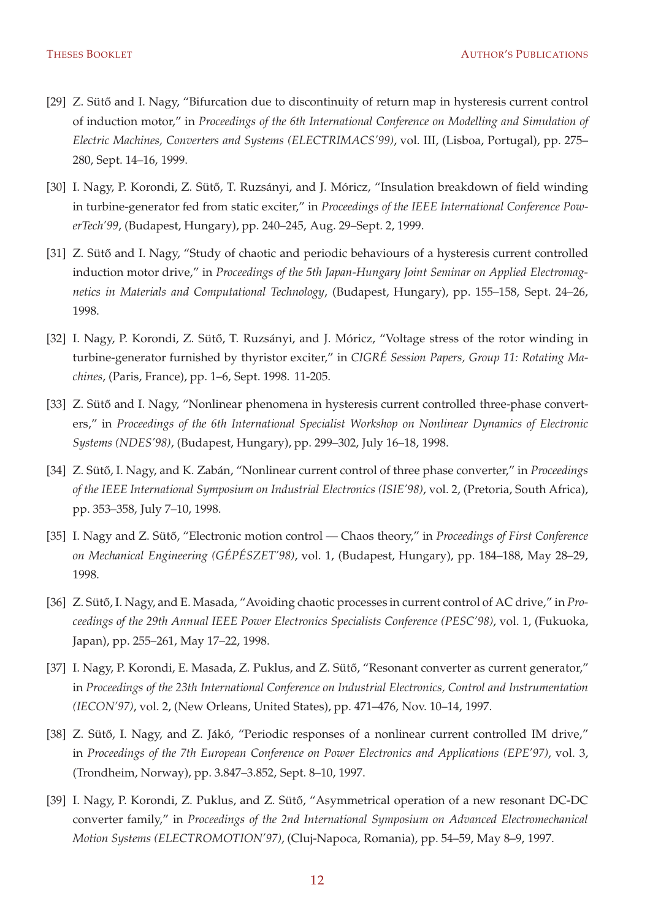- [29] Z. Sütő and I. Nagy, "Bifurcation due to discontinuity of return map in hysteresis current control of induction motor," in *Proceedings of the 6th International Conference on Modelling and Simulation of Electric Machines, Converters and Systems (ELECTRIMACS'99)*, vol. III, (Lisboa, Portugal), pp. 275– 280, Sept. 14–16, 1999.
- [30] I. Nagy, P. Korondi, Z. Sütő, T. Ruzsányi, and J. Móricz, "Insulation breakdown of field winding in turbine-generator fed from static exciter," in *Proceedings of the IEEE International Conference PowerTech'99*, (Budapest, Hungary), pp. 240–245, Aug. 29–Sept. 2, 1999.
- [31] Z. Sütő and I. Nagy, "Study of chaotic and periodic behaviours of a hysteresis current controlled induction motor drive," in *Proceedings of the 5th Japan-Hungary Joint Seminar on Applied Electromagnetics in Materials and Computational Technology*, (Budapest, Hungary), pp. 155–158, Sept. 24–26, 1998.
- [32] I. Nagy, P. Korondi, Z. Sütő, T. Ruzsányi, and J. Móricz, "Voltage stress of the rotor winding in turbine-generator furnished by thyristor exciter," in *CIGRÉ Session Papers, Group 11: Rotating Machines*, (Paris, France), pp. 1–6, Sept. 1998. 11-205.
- [33] Z. Sütő and I. Nagy, "Nonlinear phenomena in hysteresis current controlled three-phase converters," in *Proceedings of the 6th International Specialist Workshop on Nonlinear Dynamics of Electronic Systems (NDES'98)*, (Budapest, Hungary), pp. 299–302, July 16–18, 1998.
- [34] Z. Sütő, I. Nagy, and K. Zabán, "Nonlinear current control of three phase converter," in *Proceedings of the IEEE International Symposium on Industrial Electronics (ISIE'98)*, vol. 2, (Pretoria, South Africa), pp. 353–358, July 7–10, 1998.
- [35] I. Nagy and Z. Sütő, "Electronic motion control Chaos theory," in *Proceedings of First Conference on Mechanical Engineering (GÉPÉSZET'98)*, vol. 1, (Budapest, Hungary), pp. 184–188, May 28–29, 1998.
- [36] Z. Sütő, I. Nagy, and E. Masada, "Avoiding chaotic processes in current control of AC drive," in *Proceedings of the 29th Annual IEEE Power Electronics Specialists Conference (PESC'98)*, vol. 1, (Fukuoka, Japan), pp. 255–261, May 17–22, 1998.
- [37] I. Nagy, P. Korondi, E. Masada, Z. Puklus, and Z. Sütő, "Resonant converter as current generator," in *Proceedings of the 23th International Conference on Industrial Electronics, Control and Instrumentation (IECON'97)*, vol. 2, (New Orleans, United States), pp. 471–476, Nov. 10–14, 1997.
- [38] Z. Sütő, I. Nagy, and Z. Jákó, "Periodic responses of a nonlinear current controlled IM drive," in *Proceedings of the 7th European Conference on Power Electronics and Applications (EPE'97)*, vol. 3, (Trondheim, Norway), pp. 3.847–3.852, Sept. 8–10, 1997.
- [39] I. Nagy, P. Korondi, Z. Puklus, and Z. Sütő, "Asymmetrical operation of a new resonant DC-DC converter family," in *Proceedings of the 2nd International Symposium on Advanced Electromechanical Motion Systems (ELECTROMOTION'97)*, (Cluj-Napoca, Romania), pp. 54–59, May 8–9, 1997.